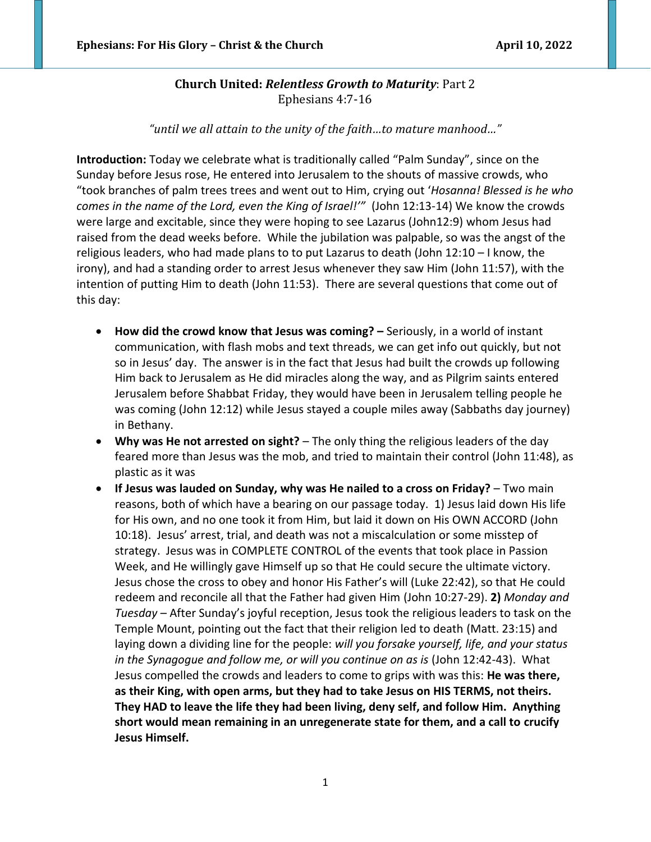# **Church United:** *Relentless Growth to Maturity*: Part 2 Ephesians 4:7-16

*"until we all attain to the unity of the faith…to mature manhood…"*

**Introduction:** Today we celebrate what is traditionally called "Palm Sunday", since on the Sunday before Jesus rose, He entered into Jerusalem to the shouts of massive crowds, who "took branches of palm trees trees and went out to Him, crying out '*Hosanna! Blessed is he who comes in the name of the Lord, even the King of Israel!'"* (John 12:13-14) We know the crowds were large and excitable, since they were hoping to see Lazarus (John12:9) whom Jesus had raised from the dead weeks before. While the jubilation was palpable, so was the angst of the religious leaders, who had made plans to to put Lazarus to death (John 12:10 – I know, the irony), and had a standing order to arrest Jesus whenever they saw Him (John 11:57), with the intention of putting Him to death (John 11:53). There are several questions that come out of this day:

- **How did the crowd know that Jesus was coming? –** Seriously, in a world of instant communication, with flash mobs and text threads, we can get info out quickly, but not so in Jesus' day. The answer is in the fact that Jesus had built the crowds up following Him back to Jerusalem as He did miracles along the way, and as Pilgrim saints entered Jerusalem before Shabbat Friday, they would have been in Jerusalem telling people he was coming (John 12:12) while Jesus stayed a couple miles away (Sabbaths day journey) in Bethany.
- **Why was He not arrested on sight?** The only thing the religious leaders of the day feared more than Jesus was the mob, and tried to maintain their control (John 11:48), as plastic as it was
- **If Jesus was lauded on Sunday, why was He nailed to a cross on Friday?** Two main reasons, both of which have a bearing on our passage today. 1) Jesus laid down His life for His own, and no one took it from Him, but laid it down on His OWN ACCORD (John 10:18). Jesus' arrest, trial, and death was not a miscalculation or some misstep of strategy. Jesus was in COMPLETE CONTROL of the events that took place in Passion Week, and He willingly gave Himself up so that He could secure the ultimate victory. Jesus chose the cross to obey and honor His Father's will (Luke 22:42), so that He could redeem and reconcile all that the Father had given Him (John 10:27-29). **2)** *Monday and Tuesday –* After Sunday's joyful reception, Jesus took the religious leaders to task on the Temple Mount, pointing out the fact that their religion led to death (Matt. 23:15) and laying down a dividing line for the people: *will you forsake yourself, life, and your status in the Synagogue and follow me, or will you continue on as is* (John 12:42-43). What Jesus compelled the crowds and leaders to come to grips with was this: **He was there, as their King, with open arms, but they had to take Jesus on HIS TERMS, not theirs. They HAD to leave the life they had been living, deny self, and follow Him. Anything short would mean remaining in an unregenerate state for them, and a call to crucify Jesus Himself.**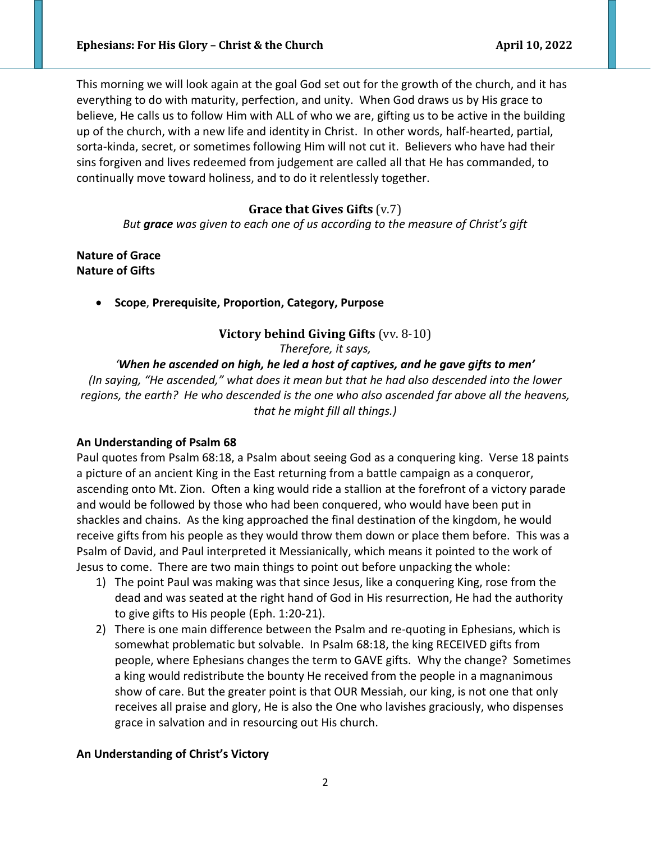This morning we will look again at the goal God set out for the growth of the church, and it has everything to do with maturity, perfection, and unity. When God draws us by His grace to believe, He calls us to follow Him with ALL of who we are, gifting us to be active in the building up of the church, with a new life and identity in Christ. In other words, half-hearted, partial, sorta-kinda, secret, or sometimes following Him will not cut it. Believers who have had their sins forgiven and lives redeemed from judgement are called all that He has commanded, to continually move toward holiness, and to do it relentlessly together.

# **Grace that Gives Gifts** (v.7)

*But grace was given to each one of us according to the measure of Christ's gift*

**Nature of Grace Nature of Gifts**

• **Scope**, **Prerequisite, Proportion, Category, Purpose** 

## **Victory behind Giving Gifts** (vv. 8-10)

*Therefore, it says,* 

# *'When he ascended on high, he led a host of captives, and he gave gifts to men'*

*(In saying, "He ascended," what does it mean but that he had also descended into the lower regions, the earth? He who descended is the one who also ascended far above all the heavens, that he might fill all things.)*

### **An Understanding of Psalm 68**

Paul quotes from Psalm 68:18, a Psalm about seeing God as a conquering king. Verse 18 paints a picture of an ancient King in the East returning from a battle campaign as a conqueror, ascending onto Mt. Zion. Often a king would ride a stallion at the forefront of a victory parade and would be followed by those who had been conquered, who would have been put in shackles and chains. As the king approached the final destination of the kingdom, he would receive gifts from his people as they would throw them down or place them before. This was a Psalm of David, and Paul interpreted it Messianically, which means it pointed to the work of Jesus to come. There are two main things to point out before unpacking the whole:

- 1) The point Paul was making was that since Jesus, like a conquering King, rose from the dead and was seated at the right hand of God in His resurrection, He had the authority to give gifts to His people (Eph. 1:20-21).
- 2) There is one main difference between the Psalm and re-quoting in Ephesians, which is somewhat problematic but solvable. In Psalm 68:18, the king RECEIVED gifts from people, where Ephesians changes the term to GAVE gifts. Why the change? Sometimes a king would redistribute the bounty He received from the people in a magnanimous show of care. But the greater point is that OUR Messiah, our king, is not one that only receives all praise and glory, He is also the One who lavishes graciously, who dispenses grace in salvation and in resourcing out His church.

### **An Understanding of Christ's Victory**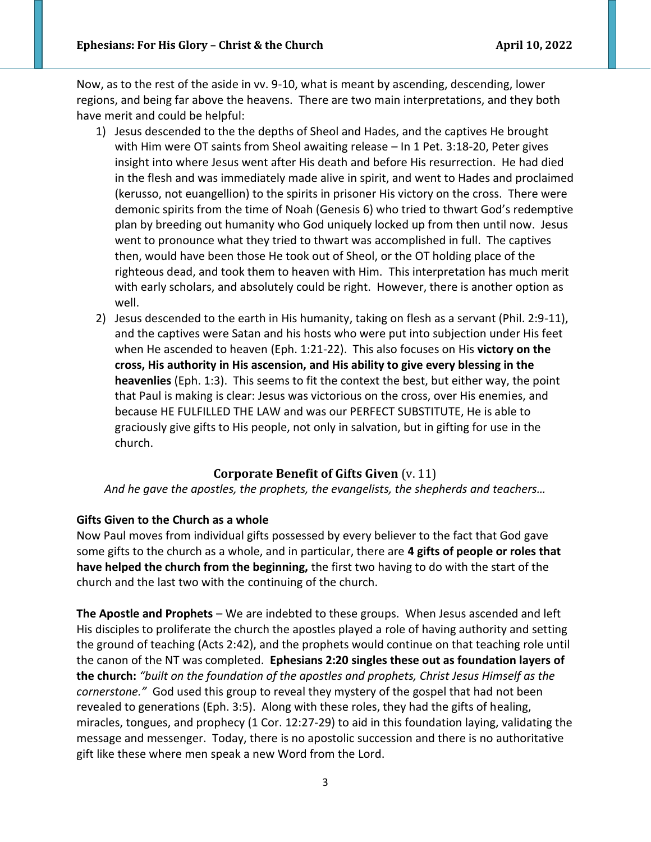Now, as to the rest of the aside in vv. 9-10, what is meant by ascending, descending, lower regions, and being far above the heavens. There are two main interpretations, and they both have merit and could be helpful:

- 1) Jesus descended to the the depths of Sheol and Hades, and the captives He brought with Him were OT saints from Sheol awaiting release – In 1 Pet. 3:18-20, Peter gives insight into where Jesus went after His death and before His resurrection. He had died in the flesh and was immediately made alive in spirit, and went to Hades and proclaimed (kerusso, not euangellion) to the spirits in prisoner His victory on the cross. There were demonic spirits from the time of Noah (Genesis 6) who tried to thwart God's redemptive plan by breeding out humanity who God uniquely locked up from then until now. Jesus went to pronounce what they tried to thwart was accomplished in full. The captives then, would have been those He took out of Sheol, or the OT holding place of the righteous dead, and took them to heaven with Him. This interpretation has much merit with early scholars, and absolutely could be right. However, there is another option as well.
- 2) Jesus descended to the earth in His humanity, taking on flesh as a servant (Phil. 2:9-11), and the captives were Satan and his hosts who were put into subjection under His feet when He ascended to heaven (Eph. 1:21-22). This also focuses on His **victory on the cross, His authority in His ascension, and His ability to give every blessing in the heavenlies** (Eph. 1:3). This seems to fit the context the best, but either way, the point that Paul is making is clear: Jesus was victorious on the cross, over His enemies, and because HE FULFILLED THE LAW and was our PERFECT SUBSTITUTE, He is able to graciously give gifts to His people, not only in salvation, but in gifting for use in the church.

### **Corporate Benefit of Gifts Given** (v. 11)

*And he gave the apostles, the prophets, the evangelists, the shepherds and teachers…*

### **Gifts Given to the Church as a whole**

Now Paul moves from individual gifts possessed by every believer to the fact that God gave some gifts to the church as a whole, and in particular, there are **4 gifts of people or roles that have helped the church from the beginning,** the first two having to do with the start of the church and the last two with the continuing of the church.

**The Apostle and Prophets** – We are indebted to these groups. When Jesus ascended and left His disciples to proliferate the church the apostles played a role of having authority and setting the ground of teaching (Acts 2:42), and the prophets would continue on that teaching role until the canon of the NT was completed. **Ephesians 2:20 singles these out as foundation layers of the church:** *"built on the foundation of the apostles and prophets, Christ Jesus Himself as the cornerstone."* God used this group to reveal they mystery of the gospel that had not been revealed to generations (Eph. 3:5). Along with these roles, they had the gifts of healing, miracles, tongues, and prophecy (1 Cor. 12:27-29) to aid in this foundation laying, validating the message and messenger. Today, there is no apostolic succession and there is no authoritative gift like these where men speak a new Word from the Lord.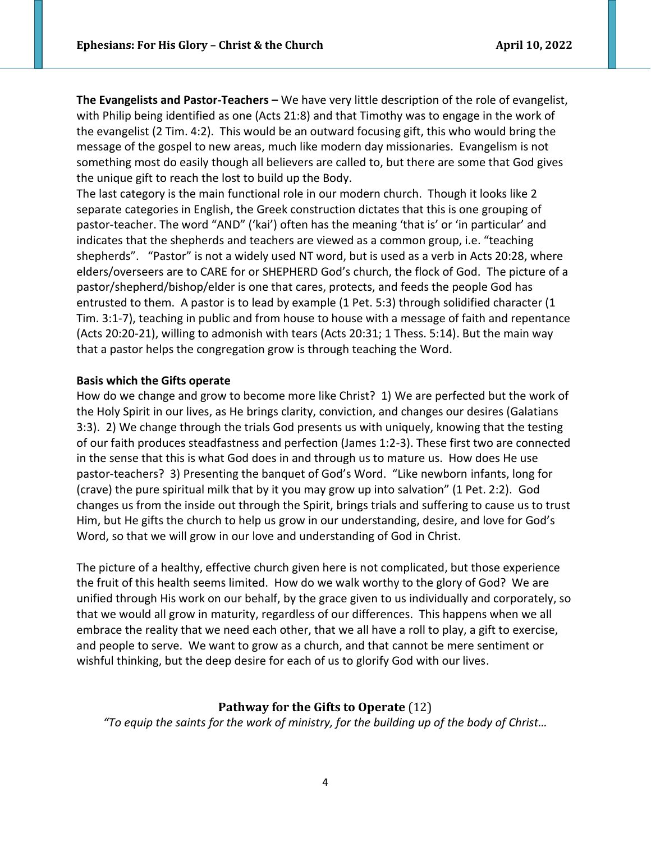**The Evangelists and Pastor-Teachers –** We have very little description of the role of evangelist, with Philip being identified as one (Acts 21:8) and that Timothy was to engage in the work of the evangelist (2 Tim. 4:2). This would be an outward focusing gift, this who would bring the message of the gospel to new areas, much like modern day missionaries. Evangelism is not something most do easily though all believers are called to, but there are some that God gives the unique gift to reach the lost to build up the Body.

The last category is the main functional role in our modern church. Though it looks like 2 separate categories in English, the Greek construction dictates that this is one grouping of pastor-teacher. The word "AND" ('kai') often has the meaning 'that is' or 'in particular' and indicates that the shepherds and teachers are viewed as a common group, i.e. "teaching shepherds". "Pastor" is not a widely used NT word, but is used as a verb in Acts 20:28, where elders/overseers are to CARE for or SHEPHERD God's church, the flock of God. The picture of a pastor/shepherd/bishop/elder is one that cares, protects, and feeds the people God has entrusted to them. A pastor is to lead by example (1 Pet. 5:3) through solidified character (1 Tim. 3:1-7), teaching in public and from house to house with a message of faith and repentance (Acts 20:20-21), willing to admonish with tears (Acts 20:31; 1 Thess. 5:14). But the main way that a pastor helps the congregation grow is through teaching the Word.

#### **Basis which the Gifts operate**

How do we change and grow to become more like Christ? 1) We are perfected but the work of the Holy Spirit in our lives, as He brings clarity, conviction, and changes our desires (Galatians 3:3). 2) We change through the trials God presents us with uniquely, knowing that the testing of our faith produces steadfastness and perfection (James 1:2-3). These first two are connected in the sense that this is what God does in and through us to mature us. How does He use pastor-teachers? 3) Presenting the banquet of God's Word. "Like newborn infants, long for (crave) the pure spiritual milk that by it you may grow up into salvation" (1 Pet. 2:2). God changes us from the inside out through the Spirit, brings trials and suffering to cause us to trust Him, but He gifts the church to help us grow in our understanding, desire, and love for God's Word, so that we will grow in our love and understanding of God in Christ.

The picture of a healthy, effective church given here is not complicated, but those experience the fruit of this health seems limited. How do we walk worthy to the glory of God? We are unified through His work on our behalf, by the grace given to us individually and corporately, so that we would all grow in maturity, regardless of our differences. This happens when we all embrace the reality that we need each other, that we all have a roll to play, a gift to exercise, and people to serve. We want to grow as a church, and that cannot be mere sentiment or wishful thinking, but the deep desire for each of us to glorify God with our lives.

#### **Pathway for the Gifts to Operate** (12)

*"To equip the saints for the work of ministry, for the building up of the body of Christ…*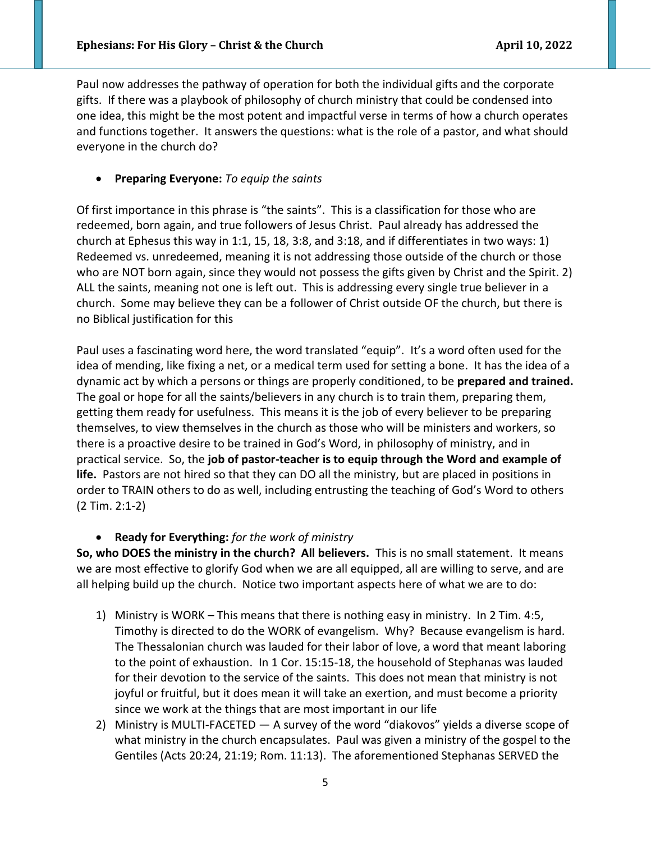Paul now addresses the pathway of operation for both the individual gifts and the corporate gifts. If there was a playbook of philosophy of church ministry that could be condensed into one idea, this might be the most potent and impactful verse in terms of how a church operates and functions together. It answers the questions: what is the role of a pastor, and what should everyone in the church do?

• **Preparing Everyone:** *To equip the saints*

Of first importance in this phrase is "the saints". This is a classification for those who are redeemed, born again, and true followers of Jesus Christ. Paul already has addressed the church at Ephesus this way in 1:1, 15, 18, 3:8, and 3:18, and if differentiates in two ways: 1) Redeemed vs. unredeemed, meaning it is not addressing those outside of the church or those who are NOT born again, since they would not possess the gifts given by Christ and the Spirit. 2) ALL the saints, meaning not one is left out. This is addressing every single true believer in a church. Some may believe they can be a follower of Christ outside OF the church, but there is no Biblical justification for this

Paul uses a fascinating word here, the word translated "equip". It's a word often used for the idea of mending, like fixing a net, or a medical term used for setting a bone. It has the idea of a dynamic act by which a persons or things are properly conditioned, to be **prepared and trained.**  The goal or hope for all the saints/believers in any church is to train them, preparing them, getting them ready for usefulness. This means it is the job of every believer to be preparing themselves, to view themselves in the church as those who will be ministers and workers, so there is a proactive desire to be trained in God's Word, in philosophy of ministry, and in practical service. So, the **job of pastor-teacher is to equip through the Word and example of life.** Pastors are not hired so that they can DO all the ministry, but are placed in positions in order to TRAIN others to do as well, including entrusting the teaching of God's Word to others (2 Tim. 2:1-2)

# • **Ready for Everything:** *for the work of ministry*

**So, who DOES the ministry in the church? All believers.** This is no small statement. It means we are most effective to glorify God when we are all equipped, all are willing to serve, and are all helping build up the church. Notice two important aspects here of what we are to do:

- 1) Ministry is WORK This means that there is nothing easy in ministry. In 2 Tim. 4:5, Timothy is directed to do the WORK of evangelism. Why? Because evangelism is hard. The Thessalonian church was lauded for their labor of love, a word that meant laboring to the point of exhaustion. In 1 Cor. 15:15-18, the household of Stephanas was lauded for their devotion to the service of the saints. This does not mean that ministry is not joyful or fruitful, but it does mean it will take an exertion, and must become a priority since we work at the things that are most important in our life
- 2) Ministry is MULTI-FACETED A survey of the word "diakovos" yields a diverse scope of what ministry in the church encapsulates. Paul was given a ministry of the gospel to the Gentiles (Acts 20:24, 21:19; Rom. 11:13). The aforementioned Stephanas SERVED the